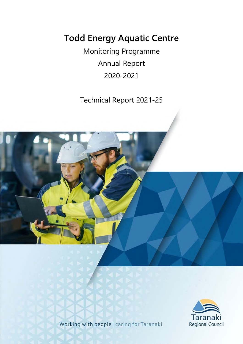# **Todd Energy Aquatic Centre**

Monitoring Programme Annual Report 2020-2021

Technical Report 2021-25





Working with people | caring for Taranaki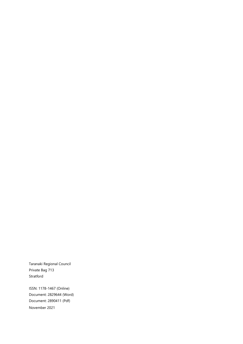Taranaki Regional Council Private Bag 713 Stratford

ISSN: 1178-1467 (Online) Document: 2829644 (Word) Document: 2890411 (Pdf) November 2021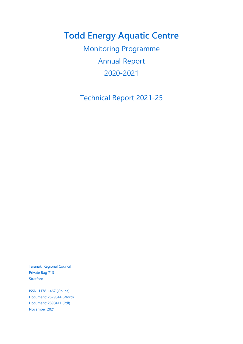# **Todd Energy Aquatic Centre**

Monitoring Programme Annual Report 2020-2021

Technical Report 2021-25

Taranaki Regional Council Private Bag 713 Stratford

ISSN: 1178-1467 (Online) Document: 2829644 (Word) Document: 2890411 (Pdf) November 2021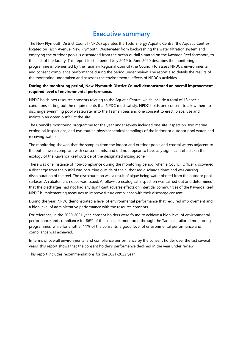## **Executive summary**

The New Plymouth District Council (NPDC) operates the Todd Energy Aquatic Centre (the Aquatic Centre) located on Tisch Avenue, New Plymouth. Wastewater from backwashing the water filtration system and emptying the outdoor pools is discharged from the ocean outfall situated on the Kawaroa Reef foreshore, to the east of the facility. This report for the period July 2019 to June 2020 describes the monitoring programme implemented by the Taranaki Regional Council (the Council) to assess NPDC's environmental and consent compliance performance during the period under review. The report also details the results of the monitoring undertaken and assesses the environmental effects of NPDC's activities.

### **During the monitoring period, New Plymouth District Council demonstrated an overall improvement required level of environmental performance.**

NPDC holds two resource consents relating to the Aquatic Centre, which include a total of 13 special conditions setting out the requirements that NPDC must satisfy. NPDC holds one consent to allow them to discharge swimming pool wastewater into the Tasman Sea, and one consent to erect, place, use and maintain an ocean outfall at the site.

The Council's monitoring programme for the year under review included one site inspection, two marine ecological inspections, and two routine physicochemical samplings of the indoor or outdoor pool water, and receiving waters.

The monitoring showed that the samples from the indoor and outdoor pools and coastal waters adjacent to the outfall were compliant with consent limits, and did not appear to have any significant effects on the ecology of the Kawaroa Reef outside of the designated mixing zone.

There was one instance of non-compliance during the monitoring period, when a Council Officer discovered a discharge from the outfall was occurring outside of the authorised discharge times and was causing discolouration of the reef. The discolouration was a result of algae being water blasted from the outdoor pool surfaces. An abatement notice was issued. A follow-up ecological inspection was carried out and determined that the discharges had not had any significant adverse effects on intertidal communities of the Kawaroa Reef. NPDC is implementing measures to improve future compliance with their discharge consent.

During the year, NPDC demonstrated a level of environmental performance that required improvement and a high level of administrative performance with the resource consents.

For reference, in the 2020-2021 year, consent holders were found to achieve a high level of environmental performance and compliance for 86% of the consents monitored through the Taranaki tailored monitoring programmes, while for another 11% of the consents, a good level of environmental performance and compliance was achieved.

In terms of overall environmental and compliance performance by the consent holder over the last several years, this report shows that the consent holder's performance declined in the year under review.

This report includes recommendations for the 2021-2022 year.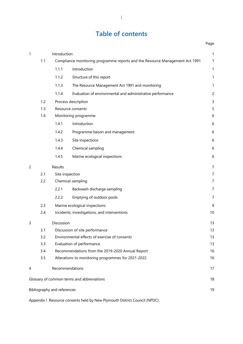## **Table of contents**

Page

| $\mathbf{1}$   |     | Introduction                |                                                                              | 1              |
|----------------|-----|-----------------------------|------------------------------------------------------------------------------|----------------|
|                | 1.1 |                             | Compliance monitoring programme reports and the Resource Management Act 1991 | $\mathbf{1}$   |
|                |     | 1.1.1                       | Introduction                                                                 | $\mathbf{1}$   |
|                |     | 1.1.2                       | Structure of this report                                                     | 1              |
|                |     | 1.1.3                       | The Resource Management Act 1991 and monitoring                              | 1              |
|                |     | 1.1.4                       | Evaluation of environmental and administrative performance                   | $\overline{c}$ |
|                | 1.2 |                             | Process description                                                          | 3              |
|                | 1.3 |                             | Resource consents                                                            | 5              |
|                | 1.4 |                             | Monitoring programme                                                         | 6              |
|                |     | 1.4.1                       | Introduction                                                                 | $\sqrt{6}$     |
|                |     | 1.4.2                       | Programme liaison and management                                             | 6              |
|                |     | 1.4.3                       | Site inspections                                                             | 6              |
|                |     | 1.4.4                       | Chemical sampling                                                            | $\sqrt{6}$     |
|                |     | 1.4.5                       | Marine ecological inspections                                                | 6              |
| $\overline{c}$ |     | Results                     |                                                                              | $\overline{7}$ |
|                | 2.1 | Site inspection             |                                                                              | 7              |
|                | 2.2 |                             | Chemical sampling                                                            | 7              |
|                |     | 2.2.1                       | Backwash discharge sampling                                                  | 7              |
|                |     | 2.2.2                       | Emptying of outdoor pools                                                    | $\overline{7}$ |
|                | 2.3 |                             | Marine ecological inspections                                                | 9              |
|                | 2.4 |                             | Incidents, investigations, and interventions                                 | 10             |
| 3              |     | Discussion                  |                                                                              | 13             |
|                | 3.1 |                             | Discussion of site performance                                               | 13             |
|                | 3.2 |                             | Environmental effects of exercise of consents                                | 13             |
|                | 3.3 |                             | Evaluation of performance                                                    | 13             |
|                | 3.4 |                             | Recommendations from the 2019-2020 Annual Report                             | 16             |
|                | 3.5 |                             | Alterations to monitoring programmes for 2021-2022                           | 16             |
| 4              |     |                             | Recommendations                                                              | 17             |
|                |     |                             | Glossary of common terms and abbreviations                                   | 18             |
|                |     | Bibliography and references |                                                                              | 19             |
|                |     |                             |                                                                              |                |

Appendix I Resource consents held by New Plymouth District Council (NPDC)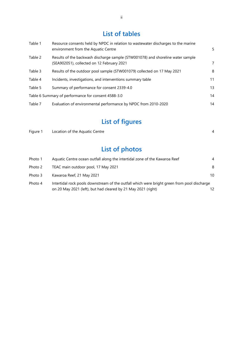## **List of tables**

| Table 1 | Resource consents held by NPDC in relation to wastewater discharges to the marine<br>environment from the Aquatic Centre      | 5. |
|---------|-------------------------------------------------------------------------------------------------------------------------------|----|
| Table 2 | Results of the backwash discharge sample (STW001078) and shoreline water sample<br>(SEA902051), collected on 12 February 2021 | 7  |
| Table 3 | Results of the outdoor pool sample (STW001079) collected on 17 May 2021                                                       | 8  |
| Table 4 | Incidents, investigations, and interventions summary table                                                                    | 11 |
| Table 5 | Summary of performance for consent 2339-4.0                                                                                   | 13 |
|         | Table 6 Summary of performance for consent 4588-3.0                                                                           | 14 |
| Table 7 | Evaluation of environmental performance by NPDC from 2010-2020                                                                | 14 |

# **List of figures**

| Figure 1 | Location of the Aquatic Centre                                             |   |
|----------|----------------------------------------------------------------------------|---|
|          | List of photos                                                             |   |
| Photo 1  | Aquatic Centre ocean outfall along the intertidal zone of the Kawaroa Reef | 4 |
| Photo 2  | TEAC main outdoor pool, 17 May 2021                                        | 8 |

| Photo 3 | Kawaroa Reef, 21 May 2021                                                                   | 10 |
|---------|---------------------------------------------------------------------------------------------|----|
| Photo 4 | Intertidal rock pools downstream of the outfall which were bright green from pool discharge |    |
|         | on 20 May 2021 (left), but had cleared by 21 May 2021 (right)                               |    |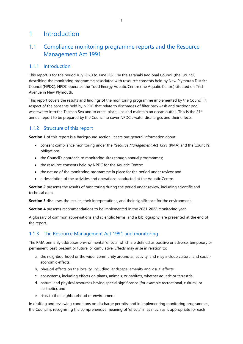## 1 Introduction

## 1.1 Compliance monitoring programme reports and the Resource Management Act 1991

### 1.1.1 Introduction

This report is for the period July 2020 to June 2021 by the Taranaki Regional Council (the Council) describing the monitoring programme associated with resource consents held by New Plymouth District Council (NPDC). NPDC operates the Todd Energy Aquatic Centre (the Aquatic Centre) situated on Tisch Avenue in New Plymouth.

This report covers the results and findings of the monitoring programme implemented by the Council in respect of the consents held by NPDC that relate to discharges of filter backwash and outdoor pool wastewater into the Tasman Sea and to erect, place, use and maintain an ocean outfall. This is the 21<sup>st</sup> annual report to be prepared by the Council to cover NPDC's water discharges and their effects.

### 1.1.2 Structure of this report

**Section 1** of this report is a background section. It sets out general information about:

- consent compliance monitoring under the *Resource Management Act 1991* (RMA) and the Council's obligations;
- the Council's approach to monitoring sites though annual programmes;
- the resource consents held by NPDC for the Aquatic Centre;
- the nature of the monitoring programme in place for the period under review; and
- a description of the activities and operations conducted at the Aquatic Centre.

**Section 2** presents the results of monitoring during the period under review, including scientific and technical data.

**Section 3** discusses the results, their interpretations, and their significance for the environment.

**Section 4** presents recommendations to be implemented in the 2021-2022 monitoring year.

A glossary of common abbreviations and scientific terms, and a bibliography, are presented at the end of the report.

### 1.1.3 The Resource Management Act 1991 and monitoring

The RMA primarily addresses environmental 'effects' which are defined as positive or adverse, temporary or permanent, past, present or future, or cumulative. Effects may arise in relation to:

- a. the neighbourhood or the wider community around an activity, and may include cultural and socialeconomic effects;
- b. physical effects on the locality, including landscape, amenity and visual effects;
- c. ecosystems, including effects on plants, animals, or habitats, whether aquatic or terrestrial;
- d. natural and physical resources having special significance (for example recreational, cultural, or aesthetic); and
- e. risks to the neighbourhood or environment.

In drafting and reviewing conditions on discharge permits, and in implementing monitoring programmes, the Council is recognising the comprehensive meaning of 'effects' in as much as is appropriate for each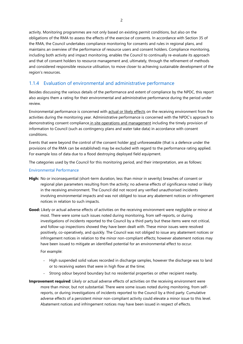activity. Monitoring programmes are not only based on existing permit conditions, but also on the obligations of the RMA to assess the effects of the exercise of consents. In accordance with Section 35 of the RMA, the Council undertakes compliance monitoring for consents and rules in regional plans, and maintains an overview of the performance of resource users and consent holders. Compliance monitoring, including both activity and impact monitoring, enables the Council to continually re-evaluate its approach and that of consent holders to resource management and, ultimately, through the refinement of methods and considered responsible resource utilisation, to move closer to achieving sustainable development of the region's resources.

### 1.1.4 Evaluation of environmental and administrative performance

Besides discussing the various details of the performance and extent of compliance by the NPDC, this report also assigns them a rating for their environmental and administrative performance during the period under review.

Environmental performance is concerned with actual or likely effects on the receiving environment from the activities during the monitoring year. Administrative performance is concerned with the NPDC's approach to demonstrating consent compliance in site operations and management including the timely provision of information to Council (such as contingency plans and water take data) in accordance with consent conditions.

Events that were beyond the control of the consent holder and unforeseeable (that is a defence under the provisions of the RMA can be established) may be excluded with regard to the performance rating applied. For example loss of data due to a flood destroying deployed field equipment.

The categories used by the Council for this monitoring period, and their interpretation, are as follows:

### Environmental Performance

- **High:** No or inconsequential (short-term duration, less than minor in severity) breaches of consent or regional plan parameters resulting from the activity; no adverse effects of significance noted or likely in the receiving environment. The Council did not record any verified unauthorised incidents involving environmental impacts and was not obliged to issue any abatement notices or infringement notices in relation to such impacts.
- **Good:** Likely or actual adverse effects of activities on the receiving environment were negligible or minor at most. There were some such issues noted during monitoring, from self-reports, or during investigations of incidents reported to the Council by a third party but these items were not critical, and follow-up inspections showed they have been dealt with. These minor issues were resolved positively, co-operatively, and quickly. The Council was not obliged to issue any abatement notices or infringement notices in relation to the minor non-compliant effects; however abatement notices may have been issued to mitigate an identified potential for an environmental effect to occur.

For example:

- High suspended solid values recorded in discharge samples, however the discharge was to land or to receiving waters that were in high flow at the time;
- Strong odour beyond boundary but no residential properties or other recipient nearby.
- **Improvement required**: Likely or actual adverse effects of activities on the receiving environment were more than minor, but not substantial. There were some issues noted during monitoring, from selfreports, or during investigations of incidents reported to the Council by a third party. Cumulative adverse effects of a persistent minor non-compliant activity could elevate a minor issue to this level. Abatement notices and infringement notices may have been issued in respect of effects.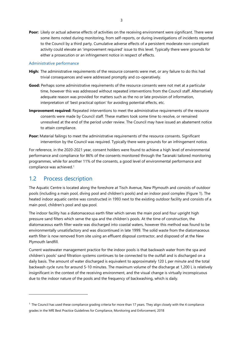**Poor:** Likely or actual adverse effects of activities on the receiving environment were significant. There were some items noted during monitoring, from self-reports, or during investigations of incidents reported to the Council by a third party. Cumulative adverse effects of a persistent moderate non-compliant activity could elevate an 'improvement required' issue to this level. Typically there were grounds for either a prosecution or an infringement notice in respect of effects.

#### Administrative performance

- **High:** The administrative requirements of the resource consents were met, or any failure to do this had trivial consequences and were addressed promptly and co-operatively.
- Good: Perhaps some administrative requirements of the resource consents were not met at a particular time, however this was addressed without repeated interventions from the Council staff. Alternatively adequate reason was provided for matters such as the no or late provision of information, interpretation of 'best practical option' for avoiding potential effects, etc.
- **Improvement required:** Repeated interventions to meet the administrative requirements of the resource consents were made by Council staff. These matters took some time to resolve, or remained unresolved at the end of the period under review. The Council may have issued an abatement notice to attain compliance.
- Poor: Material failings to meet the administrative requirements of the resource consents. Significant intervention by the Council was required. Typically there were grounds for an infringement notice.

For reference, in the 2020-2021 year, consent holders were found to achieve a high level of environmental performance and compliance for 86% of the consents monitored through the Taranaki tailored monitoring programmes, while for another 11% of the consents, a good level of environmental performance and compliance was achieved.1

### 1.2 Process description

 $\overline{a}$ 

The Aquatic Centre is located along the foreshore at Tisch Avenue, New Plymouth and consists of outdoor pools (including a main pool, diving pool and children's pools) and an indoor pool complex (Figure 1). The heated indoor aquatic centre was constructed in 1993 next to the existing outdoor facility and consists of a main pool, children's pool and spa pool.

The indoor facility has a diatomaceous earth filter which serves the main pool and four upright high pressure sand filters which serve the spa and the children's pools. At the time of construction, the diatomaceous earth filter waste was discharged into coastal waters, however this method was found to be environmentally unsatisfactory and was discontinued in late 1999. The solid waste from the diatomaceous earth filter is now removed from site using an effluent disposal contractor, and disposed of at the New Plymouth landfill.

Current wastewater management practice for the indoor pools is that backwash water from the spa and children's pools' sand filtration systems continues to be connected to the outfall and is discharged on a daily basis. The amount of water discharged is equivalent to approximately 120 L per minute and the total backwash cycle runs for around 5-10 minutes. The maximum volume of the discharge at 1,200 L is relatively insignificant in the context of the receiving environment, and the visual change is virtually inconspicuous due to the indoor nature of the pools and the frequency of backwashing, which is daily.

<sup>&</sup>lt;sup>1</sup> The Council has used these compliance grading criteria for more than 17 years. They align closely with the 4 compliance grades in the MfE Best Practice Guidelines for Compliance, Monitoring and Enforcement, 2018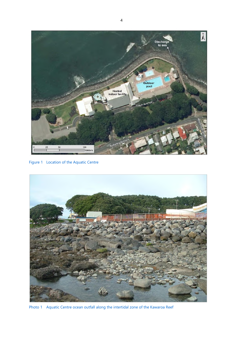

Figure 1 Location of the Aquatic Centre



Photo 1 Aquatic Centre ocean outfall along the intertidal zone of the Kawaroa Reef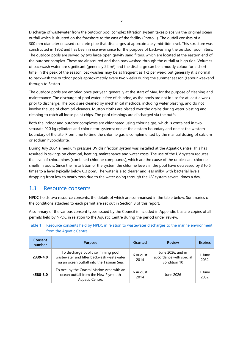Discharge of wastewater from the outdoor pool complex filtration system takes place via the original ocean outfall which is situated on the foreshore to the east of the facility (Photo 1). The outfall consists of a 300 mm diameter encased concrete pipe that discharges at approximately mid-tide level. This structure was constructed in 1962 and has been in use ever since for the purpose of backwashing the outdoor pool filters. The outdoor pools are served by two large open gravity sand filters, which are located at the eastern end of the outdoor complex. These are air scoured and then backwashed through the outfall at high tide. Volumes of backwash water are significant (generally 22  $\text{m}^3$ ) and the discharge can be a muddy colour for a short time. In the peak of the season, backwashes may be as frequent as 1-2 per week, but generally it is normal to backwash the outdoor pools approximately every two weeks during the summer season (Labour weekend through to Easter).

The outdoor pools are emptied once per year, generally at the start of May, for the purpose of cleaning and maintenance. The discharge of pool water is free of chlorine, as the pools are not in use for at least a week prior to discharge. The pools are cleaned by mechanical methods, including water blasting, and do not involve the use of chemical cleaners. Mutton cloths are placed over the drains during water blasting and cleaning to catch all loose paint chips. The pool cleanings are discharged via the outfall.

Both the indoor and outdoor complexes are chlorinated using chlorine gas, which is contained in two separate 920 kg cylinders and chlorinator systems; one at the eastern boundary and one at the western boundary of the site. From time to time the chlorine gas is complemented by the manual dosing of calcium or sodium hypochlorite.

During July 2004 a medium pressure UV disinfection system was installed at the Aquatic Centre. This has resulted in savings on chemical, heating, maintenance and water costs. The use of the UV system reduces the level of chloramines (combined chlorine compounds), which are the cause of the unpleasant chlorine smells in pools. Since the installation of the system the chlorine levels in the pool have decreased by 3 to 5 times to a level typically below 0.3 ppm. The water is also clearer and less milky, with bacterial levels dropping from low to nearly zero due to the water going through the UV system several times a day.

### 1.3 Resource consents

NPDC holds two resource consents, the details of which are summarised in the table below. Summaries of the conditions attached to each permit are set out in Section 3 of this report.

A summary of the various consent types issued by the Council is included in Appendix I, as are copies of all permits held by NPDC in relation to the Aquatic Centre during the period under review.

| Consent<br>number | <b>Purpose</b>                                                                                                              | Granted          | <b>Review</b>                                                | <b>Expires</b> |
|-------------------|-----------------------------------------------------------------------------------------------------------------------------|------------------|--------------------------------------------------------------|----------------|
| 2339-4.0          | To discharge public swimming pool<br>wastewater and filter backwash wastewater<br>via an ocean outfall into the Tasman Sea. | 6 August<br>2014 | June 2026, and in<br>accordance with special<br>condition 10 | 1 June<br>2032 |
| 4588-3.0          | To occupy the Coastal Marine Area with an<br>ocean outfall from the New Plymouth<br>Aquatic Centre.                         | 6 August<br>2014 | June 2026                                                    | 1 June<br>2032 |

Table 1 Resource consents held by NPDC in relation to wastewater discharges to the marine environment from the Aquatic Centre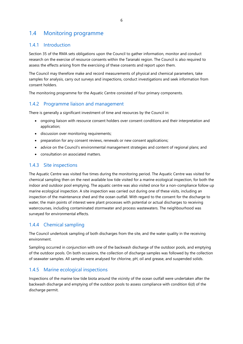## 1.4 Monitoring programme

### 1.4.1 Introduction

Section 35 of the RMA sets obligations upon the Council to gather information, monitor and conduct research on the exercise of resource consents within the Taranaki region. The Council is also required to assess the effects arising from the exercising of these consents and report upon them.

The Council may therefore make and record measurements of physical and chemical parameters, take samples for analysis, carry out surveys and inspections, conduct investigations and seek information from consent holders.

The monitoring programme for the Aquatic Centre consisted of four primary components.

### 1.4.2 Programme liaison and management

There is generally a significant investment of time and resources by the Council in:

- ongoing liaison with resource consent holders over consent conditions and their interpretation and application;
- discussion over monitoring requirements;
- preparation for any consent reviews, renewals or new consent applications;
- advice on the Council's environmental management strategies and content of regional plans; and
- consultation on associated matters.

### 1.4.3 Site inspections

The Aquatic Centre was visited five times during the monitoring period. The Aquatic Centre was visited for chemical sampling then on the next available low tide visited for a marine ecological inspection, for both the indoor and outdoor pool emptying. The aquatic centre was also visited once for a non-compliance follow up marine ecological inspection. A site inspection was carried out during one of these visits, including an inspection of the maintenance shed and the ocean outfall. With regard to the consent for the discharge to water, the main points of interest were plant processes with potential or actual discharges to receiving watercourses, including contaminated stormwater and process wastewaters. The neighbourhood was surveyed for environmental effects.

### 1.4.4 Chemical sampling

The Council undertook sampling of both discharges from the site, and the water quality in the receiving environment.

Sampling occurred in conjunction with one of the backwash discharge of the outdoor pools, and emptying of the outdoor pools. On both occasions, the collection of discharge samples was followed by the collection of seawater samples. All samples were analysed for chlorine, pH, oil and grease, and suspended solids.

### 1.4.5 Marine ecological inspections

Inspections of the marine low tide biota around the vicinity of the ocean outfall were undertaken after the backwash discharge and emptying of the outdoor pools to assess compliance with condition 6(d) of the discharge permit.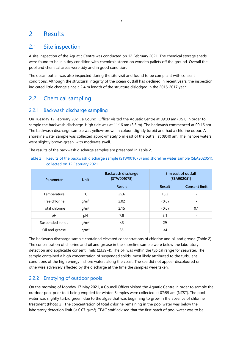## 2 Results

## 2.1 Site inspection

A site inspection of the Aquatic Centre was conducted on 12 February 2021. The chemical storage sheds were found to be in a tidy condition with chemicals stored on wooden pallets off the ground. Overall the pool and chemical areas were tidy and in good condition.

The ocean outfall was also inspected during the site visit and found to be compliant with consent conditions. Although the structural integrity of the ocean outfall has declined in recent years, the inspection indicated little change since a 2.4 m length of the structure dislodged in the 2016-2017 year.

## 2.2 Chemical sampling

### 2.2.1 Backwash discharge sampling

On Tuesday 12 February 2021, a Council Officer visited the Aquatic Centre at 09:00 am (DST) in order to sample the backwash discharge. High tide was at 11:16 am (3.5 m). The backwash commenced at 09:16 am. The backwash discharge sample was yellow-brown in colour, slightly turbid and had a chlorine odour. A shoreline water sample was collected approximately 5 m east of the outfall at 09:40 am. The inshore waters were slightly brown-green, with moderate swell.

The results of the backwash discharge samples are presented in Table 2.

Table 2 Results of the backwash discharge sample (STW001078) and shoreline water sample (SEA902051), collected on 12 February 2021

| Parameter        | Unit             | <b>Backwash discharge</b><br>[STW001078] | 5 m east of outfall<br>[SEA902051] |                      |
|------------------|------------------|------------------------------------------|------------------------------------|----------------------|
|                  |                  | <b>Result</b>                            | <b>Result</b>                      | <b>Consent limit</b> |
| Temperature      | °C               | 25.6                                     | 18.2                               |                      |
| Free chlorine    | g/m <sup>3</sup> | 2.02                                     | <0.07                              |                      |
| Total chlorine   | g/m <sup>3</sup> | 2.15                                     | <0.07                              | 0.1                  |
| рH               | pH               | 7.8                                      | 8.1                                |                      |
| Suspended solids | g/m <sup>3</sup> | $<$ 3                                    | 29                                 |                      |
| Oil and grease   | g/m <sup>3</sup> | 35                                       | $\lt$ 4                            |                      |

The backwash discharge sample contained elevated concentrations of chlorine and oil and grease (Table 2). The concentration of chlorine and oil and grease in the shoreline sample were below the laboratory detection and applicable consent limits (2339-4). The pH was within the typical range for seawater. The sample contained a high concentration of suspended solids, most likely attributed to the turbulent conditions of the high energy inshore waters along the coast. The sea did not appear discoloured or otherwise adversely affected by the discharge at the time the samples were taken.

### 2.2.2 Emptying of outdoor pools

On the morning of Monday 17 May 2021, a Council Officer visited the Aquatic Centre in order to sample the outdoor pool prior to it being emptied for winter. Samples were collected at 07:55 am (NZST). The pool water was slightly turbid green, due to the algae that was beginning to grow in the absence of chlorine treatment (Photo 2). The concentration of total chlorine remaining in the pool water was below the laboratory detection limit (< 0.07  $g/m<sup>3</sup>$ ). TEAC staff advised that the first batch of pool water was to be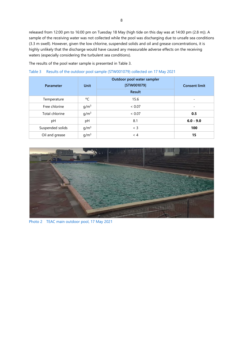released from 12:00 pm to 16:00 pm on Tuesday 18 May (high tide on this day was at 14:00 pm (2.8 m)). A sample of the receiving water was not collected while the pool was discharging due to unsafe sea conditions (3.3 m swell). However, given the low chlorine, suspended solids and oil and grease concentrations, it is highly unlikely that the discharge would have caused any measurable adverse effects on the receiving waters (especially considering the turbulent sea conditions).

The results of the pool water sample is presented in Table 3.

| Parameter        | Unit             | Outdoor pool water sampler<br>[STW001079]<br><b>Result</b> | <b>Consent limit</b> |
|------------------|------------------|------------------------------------------------------------|----------------------|
| Temperature      | °C               | 15.6                                                       |                      |
| Free chlorine    | g/m <sup>3</sup> | < 0.07                                                     |                      |
| Total chlorine   | g/m <sup>3</sup> | < 0.07                                                     | 0.5                  |
| рH               | pH               | 8.1                                                        | $6.0 - 9.0$          |
| Suspended solids | g/m <sup>3</sup> | $<$ 3                                                      | 100                  |
| Oil and grease   | q/m <sup>3</sup> | $\leq 4$                                                   | 15                   |

Table 3 Results of the outdoor pool sample (STW001079) collected on 17 May 2021



Photo 2 TEAC main outdoor pool, 17 May 2021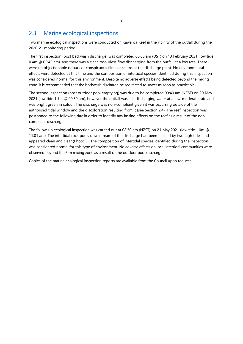## 2.3 Marine ecological inspections

Two marine ecological inspections were conducted on Kawaroa Reef in the vicinity of the outfall during the 2020-21 monitoring period.

The first inspection (post backwash discharge) was completed 06:05 am (DST) on 13 February 2021 (low tide 0.4m @ 05:45 am), and there was a clear, odourless flow discharging from the outfall at a low rate. There were no objectionable odours or conspicuous films or scums at the discharge point. No environmental effects were detected at this time and the composition of intertidal species identified during this inspection was considered normal for this environment. Despite no adverse effects being detected beyond the mixing zone, it is recommended that the backwash discharge be redirected to sewer as soon as practicable.

The second inspection (post outdoor pool emptying) was due to be completed 09:40 am (NZST) on 20 May 2021 (low tide 1.1m @ 09:59 am), however the outfall was still discharging water at a low-moderate rate and was bright green in colour. The discharge was non-compliant given it was occurring outside of the authorised tidal window and the discoloration resulting from it (see Section 2.4). The reef inspection was postponed to the following day in order to identify any lasting effects on the reef as a result of the noncompliant discharge.

The follow-up ecological inspection was carried out at 08:30 am (NZST) on 21 May 2021 (low tide 1.0m @ 11:01 am). The intertidal rock pools downstream of the discharge had been flushed by two high tides and appeared clean and clear (Photo 3). The composition of intertidal species identified during the inspection was considered normal for this type of environment. No adverse effects on local intertidal communities were observed beyond the 5 m mixing zone as a result of the outdoor pool discharge.

Copies of the marine ecological inspection reports are available from the Council upon request.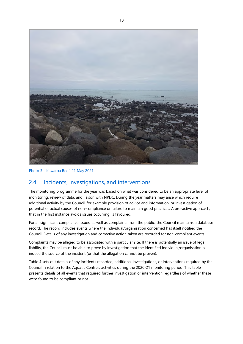

Photo 3 Kawaroa Reef, 21 May 2021

## 2.4 Incidents, investigations, and interventions

The monitoring programme for the year was based on what was considered to be an appropriate level of monitoring, review of data, and liaison with NPDC. During the year matters may arise which require additional activity by the Council, for example provision of advice and information, or investigation of potential or actual causes of non-compliance or failure to maintain good practices. A pro-active approach, that in the first instance avoids issues occurring, is favoured.

For all significant compliance issues, as well as complaints from the public, the Council maintains a database record. The record includes events where the individual/organisation concerned has itself notified the Council. Details of any investigation and corrective action taken are recorded for non-compliant events.

Complaints may be alleged to be associated with a particular site. If there is potentially an issue of legal liability, the Council must be able to prove by investigation that the identified individual/organisation is indeed the source of the incident (or that the allegation cannot be proven).

Table 4 sets out details of any incidents recorded, additional investigations, or interventions required by the Council in relation to the Aquatic Centre's activities during the 2020-21 monitoring period. This table presents details of all events that required further investigation or intervention regardless of whether these were found to be compliant or not.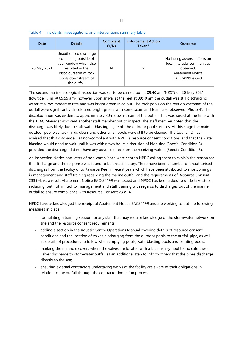| Date        | <b>Details</b>                                                                                                                                                 | Compliant<br>(Y/N) | <b>Enforcement Action</b><br>Taken? | Outcome                                                                                                                    |
|-------------|----------------------------------------------------------------------------------------------------------------------------------------------------------------|--------------------|-------------------------------------|----------------------------------------------------------------------------------------------------------------------------|
| 20 May 2021 | Unauthorised discharge<br>continuing outside of<br>tidal window which also<br>resulted in the<br>discolouration of rock<br>pools downstream of<br>the outfall. | N                  | ٧                                   | No lasting adverse effects on<br>local intertidal communities<br>observed.<br><b>Abatement Notice</b><br>EAC-24199 issued. |

Table 4 Incidents, investigations, and interventions summary table

The second marine ecological inspection was set to be carried out at 09:40 am (NZST) on 20 May 2021 (low tide 1.1m @ 09:59 am), however upon arrival at the reef at 09:40 am the outfall was still discharging water at a low-moderate rate and was bright green in colour. The rock pools on the reef downstream of the outfall were significantly discoloured bright green, with some scum and foam also observed (Photo 4). The discolouration was evident to approximately 30m downstream of the outfall. This was raised at the time with the TEAC Manager who sent another staff member out to inspect. The staff member noted that the discharge was likely due to staff water blasting algae off the outdoor pool surfaces. At this stage the main outdoor pool was two-thirds clean, and other small pools were still to be cleaned. The Council Officer advised that this discharge was non-compliant with NPDC's resource consent conditions, and that the water blasting would need to wait until it was within two hours either side of high tide (Special Condition 8), provided the discharge did not have any adverse effects on the receiving waters (Special Condition 6).

An Inspection Notice and letter of non-compliance were sent to NPDC asking them to explain the reason for the discharge and the response was found to be unsatisfactory. There have been a number of unauthorised discharges from the facility onto Kawaroa Reef in recent years which have been attributed to shortcomings in management and staff training regarding the marine outfall and the requirements of Resource Consent 2339-4. As a result Abatement Notice EAC-24199 was issued and NPDC has been asked to undertake steps including, but not limited to, management and staff training with regards to discharges out of the marine outfall to ensure compliance with Resource Consent 2339-4.

NPDC have acknowledged the receipt of Abatement Notice EAC24199 and are working to put the following measures in place:

- formulating a training session for any staff that may require knowledge of the stormwater network on site and the resource consent requirements;
- adding a section in the Aquatic Centre Operations Manual covering details of resource consent conditions and the location of valves discharging from the outdoor pools to the outfall pipe, as well as details of procedures to follow when emptying pools, waterblasting pools and painting pools;
- marking the manhole covers where the valves are located with a blue fish symbol to indicate these valves discharge to stormwater outfall as an additional step to inform others that the pipes discharge directly to the sea;
- ensuring external contractors undertaking works at the facility are aware of their obligations in relation to the outfall through the contractor induction process.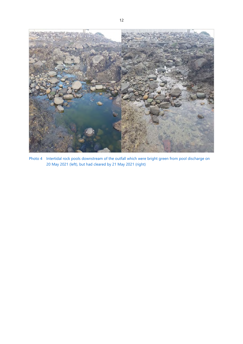

Photo 4 Intertidal rock pools downstream of the outfall which were bright green from pool discharge on 20 May 2021 (left), but had cleared by 21 May 2021 (right)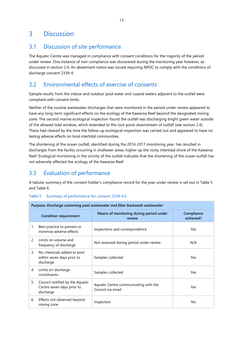## 3 Discussion

## 3.1 Discussion of site performance

The Aquatic Centre was managed in compliance with consent conditions for the majority of the period under review. One instance of non-compliance was discovered during the monitoring year however, as discussed in section 2.4. An abatement notice was issued requiring NPDC to comply with the conditions of discharge consent 2339-4.

## 3.2 Environmental effects of exercise of consents

Sample results from the indoor and outdoor pool water and coastal waters adjacent to the outfall were compliant with consent limits.

Neither of the routine wastewater discharges that were monitored in the period under review appeared to have any long-term significant effects on the ecology of the Kawaroa Reef beyond the designated mixing zone. The second marine ecological inspection found the outfall was discharging bright green water outside of the allowed tidal window, which extended to the rock pools downstream of outfall (see section 2.4). These had cleared by the time the follow-up ecological inspection was carried out and appeared to have no lasting adverse effects on local intertidal communities.

The shortening of the ocean outfall, identified during the 2016-2017 monitoring year, has resulted in discharges from the facility occurring in shallower areas, higher up the rocky intertidal shore of the Kawaroa Reef. Ecological monitoring in the vicinity of the outfall indicates that the shortening of the ocean outfall has not adversely affected the ecology of the Kawaroa Reef.

## 3.3 Evaluation of performance

A tabular summary of the consent holder's compliance record for the year under review is set out in Table 5 and Table 6.

### Table 5 Summary of performance for consent 2339-4.0

| Purpose: Discharge swimming pool wastewater and filter backwash wastewater |                                                                            |                                                            |                         |  |  |
|----------------------------------------------------------------------------|----------------------------------------------------------------------------|------------------------------------------------------------|-------------------------|--|--|
|                                                                            | <b>Condition requirement</b>                                               | Means of monitoring during period under<br>review          | Compliance<br>achieved? |  |  |
| 1.                                                                         | Best practice to prevent or<br>minimise adverse effects                    | Inspections and correspondence                             | Yes                     |  |  |
| 2.                                                                         | Limits on volume and<br>frequency of discharge                             | Not assessed during period under review                    | N/A                     |  |  |
| 3.                                                                         | No chemicals added to pool<br>within seven days prior to<br>discharge      | Samples collected                                          | Yes                     |  |  |
| 4.                                                                         | Limits on discharge<br>constituents                                        | Samples collected                                          | Yes                     |  |  |
| 5.                                                                         | Council notified by the Aquatic<br>Centre seven days prior to<br>discharge | Aquatic Centre communicating with the<br>Council via email | Yes                     |  |  |
| 6.                                                                         | Effects not observed beyond<br>mixing zone                                 | Inspection                                                 | No                      |  |  |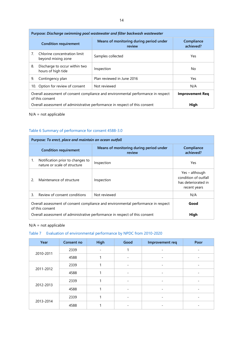| Purpose: Discharge swimming pool wastewater and filter backwash wastewater |                                                                                                                                |                                                                             |      |  |  |  |
|----------------------------------------------------------------------------|--------------------------------------------------------------------------------------------------------------------------------|-----------------------------------------------------------------------------|------|--|--|--|
|                                                                            | <b>Condition requirement</b>                                                                                                   | Compliance<br>achieved?                                                     |      |  |  |  |
| 7.                                                                         | Chlorine concentration limit<br>beyond mixing zone                                                                             | Samples collected                                                           | Yes  |  |  |  |
| 8.                                                                         | Discharge to occur within two<br>hours of high tide                                                                            | Inspection                                                                  | No.  |  |  |  |
| 9.                                                                         | Contingency plan                                                                                                               | Plan reviewed in June 2016                                                  | Yes  |  |  |  |
|                                                                            | 10. Option for review of consent<br>Not reviewed<br>N/A                                                                        |                                                                             |      |  |  |  |
|                                                                            | Overall assessment of consent compliance and environmental performance in respect<br><b>Improvement Req</b><br>of this consent |                                                                             |      |  |  |  |
|                                                                            |                                                                                                                                | Overall assessment of administrative performance in respect of this consent | High |  |  |  |

### N/A = not applicable

### Table 6 Summary of performance for consent 4588-3.0

| Purpose: To erect, place and maintain an ocean outfall |                                                                                                              |                                                   |                                                                               |  |  |  |
|--------------------------------------------------------|--------------------------------------------------------------------------------------------------------------|---------------------------------------------------|-------------------------------------------------------------------------------|--|--|--|
|                                                        | <b>Condition requirement</b>                                                                                 | Means of monitoring during period under<br>review | Compliance<br>achieved?                                                       |  |  |  |
| 1.                                                     | Notification prior to changes to<br>nature or scale of structure                                             | Inspection                                        | Yes                                                                           |  |  |  |
| 2.                                                     | Maintenance of structure                                                                                     | Inspection                                        | Yes – although<br>condition of outfall<br>has deteriorated in<br>recent years |  |  |  |
| 3.                                                     | Review of consent conditions                                                                                 | Not reviewed                                      | N/A                                                                           |  |  |  |
|                                                        | Overall assessment of consent compliance and environmental performance in respect<br>Good<br>of this consent |                                                   |                                                                               |  |  |  |
|                                                        | Overall assessment of administrative performance in respect of this consent<br>High                          |                                                   |                                                                               |  |  |  |

#### N/A = not applicable

### Table 7 Evaluation of environmental performance by NPDC from 2010-2020

| Year      | Consent no | <b>High</b> | Good | Improvement req          | Poor |
|-----------|------------|-------------|------|--------------------------|------|
|           | 2339       |             |      |                          |      |
| 2010-2011 | 4588       |             |      | $\qquad \qquad -$        |      |
|           | 2339       |             |      | $\overline{\phantom{0}}$ |      |
| 2011-2012 | 4588       |             |      |                          |      |
|           | 2339       |             | -    | -                        |      |
| 2012-2013 | 4588       |             |      | $\qquad \qquad -$        |      |
|           | 2339       |             |      | -                        |      |
| 2013-2014 | 4588       |             |      |                          |      |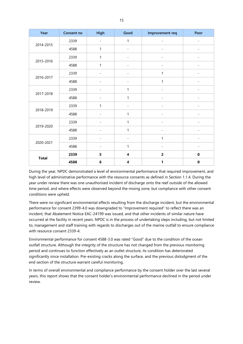| Year         | Consent no | High                     | Good                     | Improvement req          | Poor                     |
|--------------|------------|--------------------------|--------------------------|--------------------------|--------------------------|
| 2014-2015    | 2339       | $\overline{a}$           | 1                        | $\overline{\phantom{a}}$ | -                        |
|              | 4588       | 1                        | $\overline{a}$           |                          | $\overline{\phantom{0}}$ |
| 2015-2016    | 2339       | 1                        | $\overline{\phantom{0}}$ |                          |                          |
|              | 4588       | 1                        |                          |                          |                          |
| 2016-2017    | 2339       | $\overline{a}$           | $\overline{a}$           | 1                        | $\overline{\phantom{0}}$ |
|              | 4588       | $\overline{a}$           | $\overline{\phantom{a}}$ | 1                        | $\overline{\phantom{0}}$ |
| 2017-2018    | 2339       | $\overline{\phantom{0}}$ | $\mathbf{1}$             | ۰                        | $\overline{a}$           |
|              | 4588       |                          | 1                        |                          |                          |
| 2018-2019    | 2339       | 1                        | $\overline{a}$           |                          |                          |
|              | 4588       | $\overline{a}$           | 1                        | $\overline{\phantom{0}}$ | $\overline{\phantom{a}}$ |
| 2019-2020    | 2339       | $\overline{a}$           | $\mathbf{1}$             | L,                       | $\overline{a}$           |
|              | 4588       |                          | 1                        |                          |                          |
| 2020-2021    | 2339       |                          |                          | 1                        |                          |
|              | 4588       | $\overline{\phantom{0}}$ | $\mathbf{1}$             |                          | $\overline{\phantom{0}}$ |
| <b>Total</b> | 2339       | 5                        | $\overline{\mathbf{4}}$  | $\overline{2}$           | $\pmb{0}$                |
|              | 4588       | 6                        | 4                        | 1                        | $\pmb{0}$                |

During the year, NPDC demonstrated a level of environmental performance that required improvement, and high level of administrative performance with the resource consents as defined in Section 1.1.4. During the year under review there was one unauthorised incident of discharge onto the reef outside of the allowed time period, and where effects were observed beyond the mixing zone, but compliance with other consent conditions were upheld.

There were no significant environmental effects resulting from the discharge incident, but the environmental performance for consent 2399-4.0 was downgraded to "Improvement required" to reflect there was an incident, that Abatement Notice EAC-24199 was issued, and that other incidents of similar nature have occurred at the facility in recent years. NPDC is in the process of undertaking steps including, but not limited to, management and staff training with regards to discharges out of the marine outfall to ensure compliance with resource consent 2339-4.

Environmental performance for consent 4588-3.0 was rated "Good" due to the condition of the ocean outfall structure. Although the integrity of the structure has not changed from the previous monitoring period and continues to function effectively as an outlet structure, its condition has deteriorated significantly since installation. Pre-existing cracks along the surface, and the previous dislodgment of the end section of the structure warrant careful monitoring.

In terms of overall environmental and compliance performance by the consent holder over the last several years, this report shows that the consent holder's environmental performance declined in the period under review.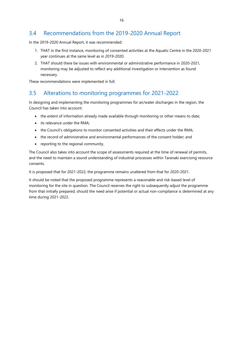## 3.4 Recommendations from the 2019-2020 Annual Report

In the 2019-2020 Annual Report, it was recommended:

- 1. THAT in the first instance, monitoring of consented activities at the Aquatic Centre in the 2020-2021 year continues at the same level as in 2019-2020.
- 2. THAT should there be issues with environmental or administrative performance in 2020-2021, monitoring may be adjusted to reflect any additional investigation or intervention as found necessary.

These recommendations were implemented in full.

## 3.5 Alterations to monitoring programmes for 2021-2022

In designing and implementing the monitoring programmes for air/water discharges in the region, the Council has taken into account:

- the extent of information already made available through monitoring or other means to date;
- its relevance under the RMA;
- the Council's obligations to monitor consented activities and their effects under the RMA;
- the record of administrative and environmental performances of the consent holder; and
- reporting to the regional community.

The Council also takes into account the scope of assessments required at the time of renewal of permits, and the need to maintain a sound understanding of industrial processes within Taranaki exercising resource consents.

It is proposed that for 2021-2022, the programme remains unaltered from that for 2020-2021.

It should be noted that the proposed programme represents a reasonable and risk-based level of monitoring for the site in question. The Council reserves the right to subsequently adjust the programme from that initially prepared, should the need arise if potential or actual non-compliance is determined at any time during 2021-2022.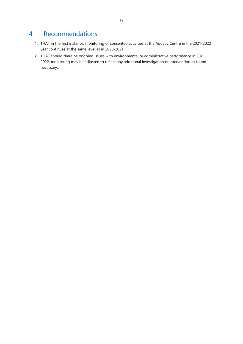## 4 Recommendations

- 1. THAT in the first instance, monitoring of consented activities at the Aquatic Centre in the 2021-2022 year continues at the same level as in 2020-2021.
- 2. THAT should there be ongoing issues with environmental or administrative performance in 2021- 2022, monitoring may be adjusted to reflect any additional investigation or intervention as found necessary.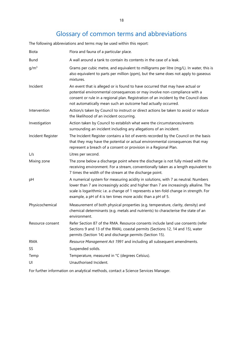## Glossary of common terms and abbreviations

The following abbreviations and terms may be used within this report:

| Biota             | Flora and fauna of a particular place.                                                                                                                                                                                                                                                                                             |  |
|-------------------|------------------------------------------------------------------------------------------------------------------------------------------------------------------------------------------------------------------------------------------------------------------------------------------------------------------------------------|--|
| <b>Bund</b>       | A wall around a tank to contain its contents in the case of a leak.                                                                                                                                                                                                                                                                |  |
| $g/m^3$           | Grams per cubic metre, and equivalent to milligrams per litre (mg/L). In water, this is<br>also equivalent to parts per million (ppm), but the same does not apply to gaseous<br>mixtures.                                                                                                                                         |  |
| Incident          | An event that is alleged or is found to have occurred that may have actual or<br>potential environmental consequences or may involve non-compliance with a<br>consent or rule in a regional plan. Registration of an incident by the Council does<br>not automatically mean such an outcome had actually occurred.                 |  |
| Intervention      | Action/s taken by Council to instruct or direct actions be taken to avoid or reduce<br>the likelihood of an incident occurring.                                                                                                                                                                                                    |  |
| Investigation     | Action taken by Council to establish what were the circumstances/events<br>surrounding an incident including any allegations of an incident.                                                                                                                                                                                       |  |
| Incident Register | The Incident Register contains a list of events recorded by the Council on the basis<br>that they may have the potential or actual environmental consequences that may<br>represent a breach of a consent or provision in a Regional Plan.                                                                                         |  |
| L/s               | Litres per second.                                                                                                                                                                                                                                                                                                                 |  |
| Mixing zone       | The zone below a discharge point where the discharge is not fully mixed with the<br>receiving environment. For a stream, conventionally taken as a length equivalent to<br>7 times the width of the stream at the discharge point.                                                                                                 |  |
| pH                | A numerical system for measuring acidity in solutions, with 7 as neutral. Numbers<br>lower than 7 are increasingly acidic and higher than 7 are increasingly alkaline. The<br>scale is logarithmic i.e. a change of 1 represents a ten-fold change in strength. For<br>example, a pH of 4 is ten times more acidic than a pH of 5. |  |
| Physicochemical   | Measurement of both physical properties (e.g. temperature, clarity, density) and<br>chemical determinants (e.g. metals and nutrients) to characterise the state of an<br>environment.                                                                                                                                              |  |
| Resource consent  | Refer Section 87 of the RMA. Resource consents include land use consents (refer<br>Sections 9 and 13 of the RMA), coastal permits (Sections 12, 14 and 15), water<br>permits (Section 14) and discharge permits (Section 15).                                                                                                      |  |
| <b>RMA</b>        | Resource Management Act 1991 and including all subsequent amendments.                                                                                                                                                                                                                                                              |  |
| SS                | Suspended solids.                                                                                                                                                                                                                                                                                                                  |  |
| Temp              | Temperature, measured in °C (degrees Celsius).                                                                                                                                                                                                                                                                                     |  |
| UI                | Unauthorised Incident.                                                                                                                                                                                                                                                                                                             |  |
|                   |                                                                                                                                                                                                                                                                                                                                    |  |

For further information on analytical methods, contact a Science Services Manager.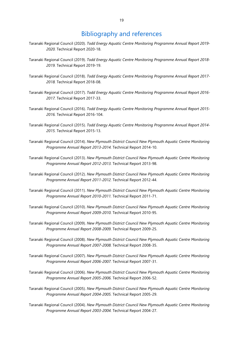## Bibliography and references

- Taranaki Regional Council (2020). *Todd Energy Aquatic Centre Monitoring Programme Annual Report 2019- 2020.* Technical Report 2020-18.
- Taranaki Regional Council (2019). *Todd Energy Aquatic Centre Monitoring Programme Annual Report 2018- 2019.* Technical Report 2019-19.
- Taranaki Regional Council (2018). *Todd Energy Aquatic Centre Monitoring Programme Annual Report 2017- 2018.* Technical Report 2018-08.
- Taranaki Regional Council (2017). *Todd Energy Aquatic Centre Monitoring Programme Annual Report 2016- 2017.* Technical Report 2017-33.
- Taranaki Regional Council (2016). *Todd Energy Aquatic Centre Monitoring Programme Annual Report 2015- 2016.* Technical Report 2016-104.
- Taranaki Regional Council (2015). *Todd Energy Aquatic Centre Monitoring Programme Annual Report 2014- 2015.* Technical Report 2015-13.
- Taranaki Regional Council (2014). *New Plymouth District Council New Plymouth Aquatic Centre Monitoring Programme Annual Report 2013-2014.* Technical Report 2014-10.
- Taranaki Regional Council (2013). *New Plymouth District Council New Plymouth Aquatic Centre Monitoring Programme Annual Report 2012-2013.* Technical Report 2013-98.
- Taranaki Regional Council (2012). *New Plymouth District Council New Plymouth Aquatic Centre Monitoring Programme Annual Report 2011-2012.* Technical Report 2012-44.
- Taranaki Regional Council (2011). *New Plymouth District Council New Plymouth Aquatic Centre Monitoring Programme Annual Report 2010-2011.* Technical Report 2011-71.
- Taranaki Regional Council (2010). *New Plymouth District Council New Plymouth Aquatic Centre Monitoring Programme Annual Report 2009-2010.* Technical Report 2010-95.
- Taranaki Regional Council (2009). *New Plymouth District Council New Plymouth Aquatic Centre Monitoring Programme Annual Report 2008-2009.* Technical Report 2009-25.
- Taranaki Regional Council (2008). *New Plymouth District Council New Plymouth Aquatic Centre Monitoring Programme Annual Report 2007-2008.* Technical Report 2008-35.
- Taranaki Regional Council (2007). *New Plymouth District Council New Plymouth Aquatic Centre Monitoring Programme Annual Report 2006-2007.* Technical Report 2007-31.
- Taranaki Regional Council (2006). *New Plymouth District Council New Plymouth Aquatic Centre Monitoring Programme Annual Report 2005-2006.* Technical Report 2006-52.
- Taranaki Regional Council (2005). *New Plymouth District Council New Plymouth Aquatic Centre Monitoring Programme Annual Report 2004-2005.* Technical Report 2005-29.
- Taranaki Regional Council (2004). *New Plymouth District Council New Plymouth Aquatic Centre Monitoring Programme Annual Report 2003-2004.* Technical Report 2004-27.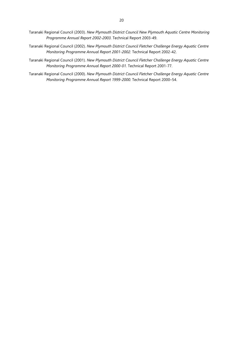- Taranaki Regional Council (2003). *New Plymouth District Council New Plymouth Aquatic Centre Monitoring Programme Annual Report 2002-2003.* Technical Report 2003-49.
- Taranaki Regional Council (2002). *New Plymouth District Council Fletcher Challenge Energy Aquatic Centre Monitoring Programme Annual Report 2001-2002.* Technical Report 2002-42.
- Taranaki Regional Council (2001). *New Plymouth District Council Fletcher Challenge Energy Aquatic Centre Monitoring Programme Annual Report 2000-01.* Technical Report 2001-77.
- Taranaki Regional Council (2000). *New Plymouth District Council Fletcher Challenge Energy Aquatic Centre Monitoring Programme Annual Report 1999-2000.* Technical Report 2000–54.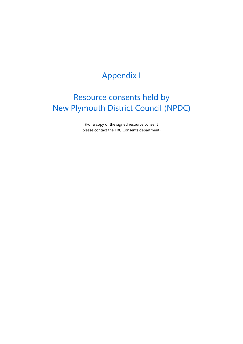# Appendix I

# Resource consents held by New Plymouth District Council (NPDC)

(For a copy of the signed resource consent please contact the TRC Consents department)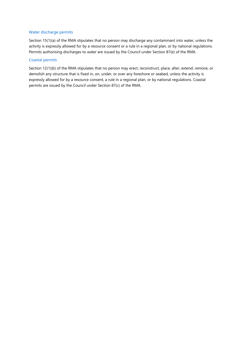#### Water discharge permits

Section 15(1)(a) of the RMA stipulates that no person may discharge any contaminant into water, unless the activity is expressly allowed for by a resource consent or a rule in a regional plan, or by national regulations. Permits authorising discharges to water are issued by the Council under Section 87(e) of the RMA.

### Coastal permits

Section 12(1)(b) of the RMA stipulates that no person may erect, reconstruct, place, alter, extend, remove, or demolish any structure that is fixed in, on, under, or over any foreshore or seabed, unless the activity is expressly allowed for by a resource consent, a rule in a regional plan, or by national regulations. Coastal permits are issued by the Council under Section 87(c) of the RMA.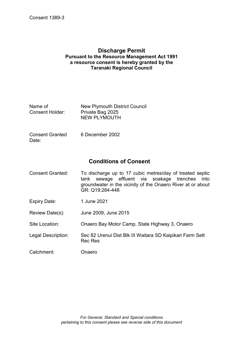### **Discharge Permit Pursuant to the Resource Management Act 1991 a resource consent is hereby granted by the Taranaki Regional Council**

| Name of         | <b>New Plymouth District Council</b> |
|-----------------|--------------------------------------|
| Consent Holder: | Private Bag 2025                     |
|                 | <b>NEW PLYMOUTH</b>                  |

Consent Granted Date: 6 December 2002

## **Conditions of Consent**

- Consent Granted: To discharge up to 17 cubic metres/day of treated septic tank sewage effluent via soakage trenches into groundwater in the vicinity of the Onaero River at or about GR: Q19:284-448
- Expiry Date: 1 June 2021
- Review Date(s): June 2009, June 2015

Site Location: Onaero Bay Motor Camp, State Highway 3, Onaero

- Legal Description: Sec 82 Urenui Dist Blk III Waitara SD Kaipikari Farm Sett Rec Res
- Catchment: Onaero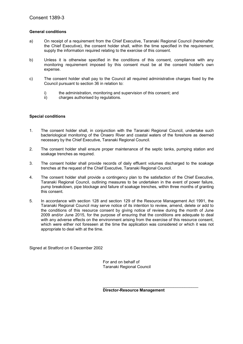### **General conditions**

- a) On receipt of a requirement from the Chief Executive, Taranaki Regional Council (hereinafter the Chief Executive), the consent holder shall, within the time specified in the requirement, supply the information required relating to the exercise of this consent.
- b) Unless it is otherwise specified in the conditions of this consent, compliance with any monitoring requirement imposed by this consent must be at the consent holder's own expense.
- c) The consent holder shall pay to the Council all required administrative charges fixed by the Council pursuant to section 36 in relation to:
	- i) the administration, monitoring and supervision of this consent; and
	- ii) charges authorised by regulations.

#### **Special conditions**

- 1. The consent holder shall, in conjunction with the Taranaki Regional Council, undertake such bacteriological monitoring of the Onaero River and coastal waters of the foreshore as deemed necessary by the Chief Executive, Taranaki Regional Council.
- 2. The consent holder shall ensure proper maintenance of the septic tanks, pumping station and soakage trenches as required.
- 3. The consent holder shall provide records of daily effluent volumes discharged to the soakage trenches at the request of the Chief Executive, Taranaki Regional Council.
- 4. The consent holder shall provide a contingency plan to the satisfaction of the Chief Executive, Taranaki Regional Council, outlining measures to be undertaken in the event of power failure, pump breakdown, pipe blockage and failure of soakage trenches, within three months of granting this consent.
- 5. In accordance with section 128 and section 129 of the Resource Management Act 1991, the Taranaki Regional Council may serve notice of its intention to review, amend, delete or add to the conditions of this resource consent by giving notice of review during the month of June 2009 and/or June 2015, for the purpose of ensuring that the conditions are adequate to deal with any adverse effects on the environment arising from the exercise of this resource consent, which were either not foreseen at the time the application was considered or which it was not appropriate to deal with at the time.

Signed at Stratford on 6 December 2002

 For and on behalf of Taranaki Regional Council

**Director-Resource Management**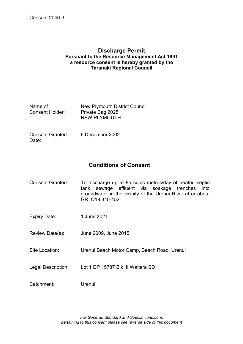### **Discharge Permit Pursuant to the Resource Management Act 1991 a resource consent is hereby granted by the Taranaki Regional Council**

| Name of         | <b>New Plymouth District Council</b> |
|-----------------|--------------------------------------|
| Consent Holder: | Private Bag 2025                     |
|                 | <b>NEW PLYMOUTH</b>                  |

Consent Granted Date: 6 December 2002

## **Conditions of Consent**

- Consent Granted: To discharge up to 85 cubic metres/day of treated septic tank sewage effluent via soakage trenches into groundwater in the vicinity of the Urenui River at or about GR: Q19:310-452
- Expiry Date: 1 June 2021
- Review Date(s): June 2009, June 2015
- Site Location: Urenui Beach Motor Camp, Beach Road, Urenui
- Legal Description: Lot 1 DP 15787 Blk III Waitara SD
- Catchment: Urenui